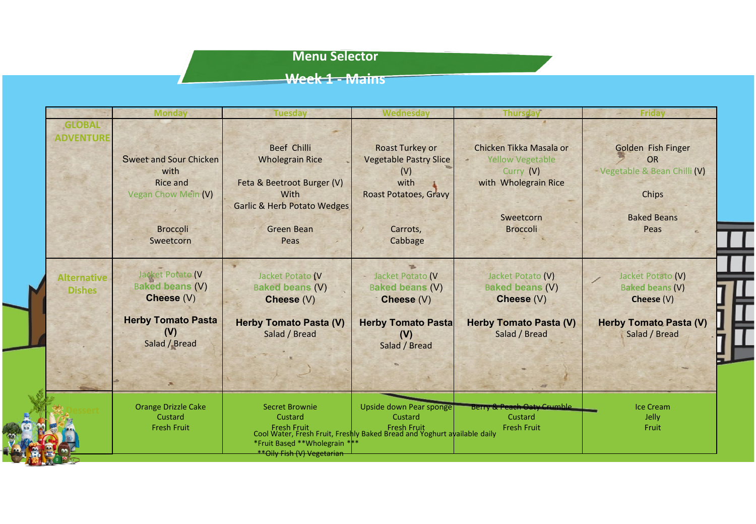## **Menu Selector**

# **Week 1 - Mains**

33

|                                     | <b>Monday</b>                                                                                     | <b>Tuesday</b>                                                                                                                                     | Wednesday                                                                                                                                                       | <b>Thursday</b>                                                                                                         | <b>Friday</b>                                                                                  |
|-------------------------------------|---------------------------------------------------------------------------------------------------|----------------------------------------------------------------------------------------------------------------------------------------------------|-----------------------------------------------------------------------------------------------------------------------------------------------------------------|-------------------------------------------------------------------------------------------------------------------------|------------------------------------------------------------------------------------------------|
| <b>GLOBAL</b><br><b>ADVENTURE</b>   | Sweet and Sour Chicken<br>with<br>Rice and<br>Vegan Chow Mein (V)<br><b>Broccoli</b><br>Sweetcorn | <b>Beef Chilli</b><br><b>Wholegrain Rice</b><br>Feta & Beetroot Burger (V)<br>With<br><b>Garlic &amp; Herb Potato Wedges</b><br>Green Bean<br>Peas | <b>Roast Turkey or</b><br><b>Vegetable Pastry Slice</b><br>(V)<br>with<br>Roast Potatoes, Gravy<br>Carrots,<br>Cabbage                                          | Chicken Tikka Masala or<br><b>Yellow Vegetable</b><br>Curry (V)<br>with Wholegrain Rice<br>Sweetcorn<br><b>Broccoli</b> | Golden Fish Finger<br>OR<br>Vegetable & Bean Chilli (V)<br>Chips<br><b>Baked Beans</b><br>Peas |
| <b>Alternative</b><br><b>Dishes</b> | Jacket Potato (V<br><b>Baked beans (V)</b><br>Cheese (V)                                          | Jacket Potato (V<br><b>Baked beans (V)</b><br>Cheese (V)                                                                                           | Jacket Potato (V<br><b>Baked beans (V)</b><br>Cheese (V)                                                                                                        | Jacket Potato (V)<br><b>Baked beans (V)</b><br>Cheese (V)                                                               | Jacket Potato (V)<br><b>Baked beans (V)</b><br>Cheese $(V)$                                    |
|                                     | <b>Herby Tomato Pasta</b><br>(V)<br>Salad / Bread<br>大                                            | <b>Herby Tomato Pasta (V)</b><br>Salad / Bread                                                                                                     | <b>Herby Tomato Pasta</b><br>(V)<br>Salad / Bread                                                                                                               | <b>Herby Tomato Pasta (V)</b><br>Salad / Bread                                                                          | <b>Herby Tomato Pasta (V)</b><br>Salad / Bread                                                 |
|                                     | <b>Orange Drizzle Cake</b><br>Custard<br><b>Fresh Fruit</b>                                       | <b>Secret Brownie</b><br>Custard<br>*Fruit Based **Wholegrain ***<br>**Oily Fish (V) Vegetarian                                                    | Upside down Pear sponge<br>Custard<br>  Fresh Fruit   Fresh Fruit   Fresh Fruit  <br>  Cool Water, Fresh Fruit, Freshly Baked Bread and Yoghurt available daily | Berry & Peach Oaty Crumble<br>Custard<br><b>Fresh Fruit</b>                                                             | <b>Ice Cream</b><br>Jelly<br>Fruit                                                             |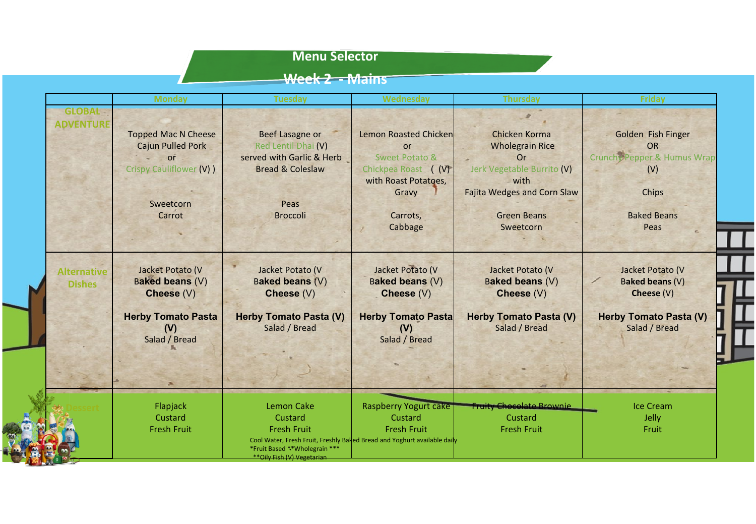# **Menu Selector**

# **Week 2 - Mains**

|                                   | <b>Monday</b>                    | <b>Tuesday</b>                                               | <b>Wednesday</b>                                                         | <b>Thursday</b>                                | Friday                                         |
|-----------------------------------|----------------------------------|--------------------------------------------------------------|--------------------------------------------------------------------------|------------------------------------------------|------------------------------------------------|
| <b>GLOBAL</b><br><b>ADVENTURE</b> |                                  |                                                              |                                                                          |                                                |                                                |
|                                   | <b>Topped Mac N Cheese</b>       | Beef Lasagne or                                              | Lemon Roasted Chicken                                                    | Chicken Korma                                  | Golden Fish Finger                             |
|                                   | <b>Cajun Pulled Pork</b>         | Red Lentil Dhai (V)                                          | <b>or</b>                                                                | <b>Wholegrain Rice</b>                         | <b>OR</b>                                      |
|                                   | or                               | served with Garlic & Herb                                    | Sweet Potato &                                                           | Or                                             | Crunchy Pepper & Humus Wrap                    |
|                                   | Crispy Cauliflower (V) )         | <b>Bread &amp; Coleslaw</b>                                  | Chickpea Roast (V)                                                       | Jerk Vegetable Burrito (V)                     | (V)                                            |
|                                   |                                  |                                                              | with Roast Potatoes,                                                     | with                                           |                                                |
|                                   |                                  |                                                              | Gravy                                                                    | <b>Fajita Wedges and Corn Slaw</b>             | Chips                                          |
|                                   | Sweetcorn                        | Peas                                                         |                                                                          |                                                |                                                |
|                                   | Carrot                           | <b>Broccoli</b>                                              | Carrots,                                                                 | <b>Green Beans</b>                             | <b>Baked Beans</b>                             |
|                                   |                                  |                                                              | Cabbage                                                                  | Sweetcorn                                      | Peas                                           |
|                                   |                                  |                                                              |                                                                          |                                                |                                                |
| <b>Alternative</b>                | Jacket Potato (V                 | Jacket Potato (V                                             | Jacket Potato (V                                                         | Jacket Potato (V                               | Jacket Potato (V                               |
| <b>Dishes</b>                     | <b>Baked beans (V)</b>           | Baked beans (V)                                              | Baked beans (V)                                                          | Baked beans (V)                                | Baked beans (V)                                |
|                                   | Cheese (V)                       | Cheese (V)                                                   | Cheese (V)                                                               | Cheese (V)                                     | Cheese (V)                                     |
|                                   | <b>Herby Tomato Pasta</b><br>(V) | <b>Herby Tomato Pasta (V)</b><br>Salad / Bread               | <b>Herby Tomato Pasta</b><br>(V)                                         | <b>Herby Tomato Pasta (V)</b><br>Salad / Bread | <b>Herby Tomato Pasta (V)</b><br>Salad / Bread |
|                                   | Salad / Bread                    |                                                              | Salad / Bread                                                            |                                                |                                                |
|                                   |                                  |                                                              |                                                                          |                                                |                                                |
|                                   |                                  |                                                              |                                                                          |                                                |                                                |
|                                   | Flapjack                         | Lemon Cake                                                   | <b>Raspberry Yogurt cake</b>                                             | <b>Fruity Chocolate Brownie</b>                | Ice Cream                                      |
|                                   | Custard                          | Custard                                                      | Custard                                                                  | Custard                                        | Jelly                                          |
|                                   | <b>Fresh Fruit</b>               | <b>Fresh Fruit</b>                                           | <b>Fresh Fruit</b>                                                       | <b>Fresh Fruit</b>                             | Fruit                                          |
|                                   |                                  | *Fruit Based ** Wholegrain ***<br>**Oily Fish (V) Vegetarian | Cool Water, Fresh Fruit, Freshly Baked Bread and Yoghurt available daily |                                                |                                                |
|                                   |                                  |                                                              |                                                                          |                                                |                                                |